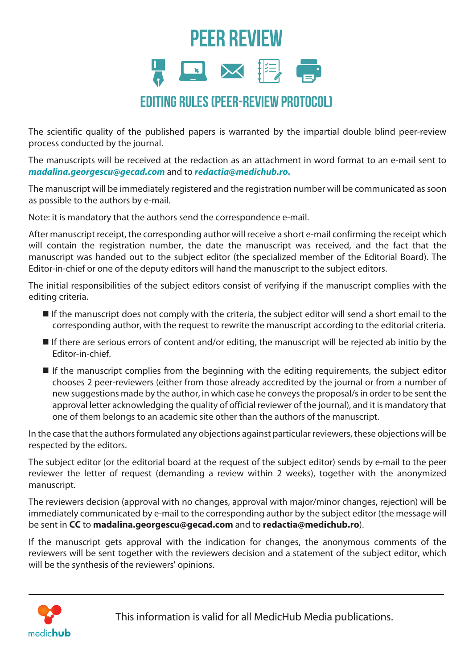## PEER REVIEW **EX** Editing rules (peer-review protocol)

The scientific quality of the published papers is warranted by the impartial double blind peer-review process conducted by the journal.

The manuscripts will be received at the redaction as an attachment in word format to an e-mail sent to *madalina.georgescu@gecad.com* and to *redactia@medichub.ro.* 

The manuscript will be immediately registered and the registration number will be communicated as soon as possible to the authors by e-mail.

Note: it is mandatory that the authors send the correspondence e-mail.

After manuscript receipt, the corresponding author will receive a short e-mail confirming the receipt which will contain the registration number, the date the manuscript was received, and the fact that the manuscript was handed out to the subject editor (the specialized member of the Editorial Board). The Editor-in-chief or one of the deputy editors will hand the manuscript to the subject editors.

The initial responsibilities of the subject editors consist of verifying if the manuscript complies with the editing criteria.

- If the manuscript does not comply with the criteria, the subject editor will send a short email to the corresponding author, with the request to rewrite the manuscript according to the editorial criteria.
- $\blacksquare$  If there are serious errors of content and/or editing, the manuscript will be rejected ab initio by the Editor-in-chief.
- $\blacksquare$  If the manuscript complies from the beginning with the editing requirements, the subject editor chooses 2 peer-reviewers (either from those already accredited by the journal or from a number of new suggestions made by the author, in which case he conveys the proposal/s in order to be sent the approval letter acknowledging the quality of official reviewer of the journal), and it is mandatory that one of them belongs to an academic site other than the authors of the manuscript.

In the case that the authors formulated any objections against particular reviewers, these objections will be respected by the editors.

The subject editor (or the editorial board at the request of the subject editor) sends by e-mail to the peer reviewer the letter of request (demanding a review within 2 weeks), together with the anonymized manuscript.

The reviewers decision (approval with no changes, approval with major/minor changes, rejection) will be immediately communicated by e-mail to the corresponding author by the subject editor (the message will be sent in **CC** to **madalina.georgescu@gecad.com** and to **redactia@medichub.ro**).

If the manuscript gets approval with the indication for changes, the anonymous comments of the reviewers will be sent together with the reviewers decision and a statement of the subject editor, which will be the synthesis of the reviewers' opinions.



This information is valid for all MedicHub Media publications.